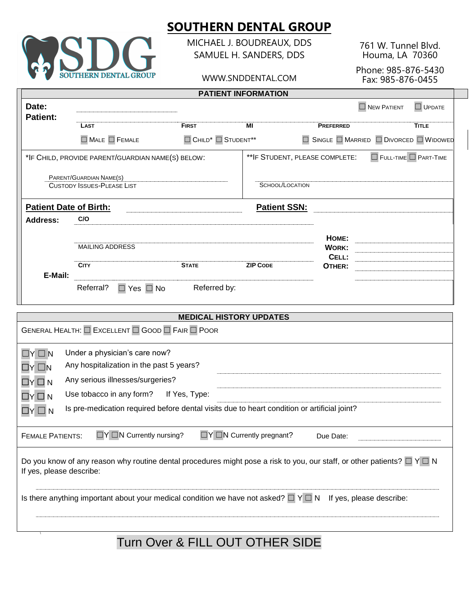

MICHAEL J. BOUDREAUX, DDS SAMUEL H. SANDERS, DDS

WWW.SNDDENTAL.COM

761 W. Tunnel Blvd. Houma, LA 70360

Phone: 985-876-5430 Fax: 985-876-0455

| <b>PATIENT INFORMATION</b>                                                                                                                                    |                                                              |                                                        |                     |                                                             |                                   |               |
|---------------------------------------------------------------------------------------------------------------------------------------------------------------|--------------------------------------------------------------|--------------------------------------------------------|---------------------|-------------------------------------------------------------|-----------------------------------|---------------|
| Date:<br><b>Patient:</b>                                                                                                                                      |                                                              |                                                        |                     |                                                             | $\Box$ NEW PATIENT                | $\Box$ UPDATE |
|                                                                                                                                                               | <b>LAST</b>                                                  | <b>FIRST</b>                                           | MI                  | <b>PREFERRED</b>                                            |                                   | <b>TITLE</b>  |
|                                                                                                                                                               | $\Box$ MALE $\Box$ FEMALE                                    | $\Box$ CHILD <sup>*</sup> $\Box$ STUDENT <sup>**</sup> |                     | $\Box$ Single $\Box$ Married $\Box$ Divorced $\Box$ Widowed |                                   |               |
|                                                                                                                                                               | *IF CHILD, PROVIDE PARENT/GUARDIAN NAME(S) BELOW:            |                                                        |                     | ** IF STUDENT, PLEASE COMPLETE:                             | $\Box$ FULL-TIME $\Box$ PART-TIME |               |
|                                                                                                                                                               | PARENT/GUARDIAN NAME(S)<br><b>CUSTODY ISSUES-PLEASE LIST</b> |                                                        | SCHOOL/LOCATION     |                                                             |                                   |               |
| <b>Patient Date of Birth:</b>                                                                                                                                 |                                                              |                                                        | <b>Patient SSN:</b> |                                                             |                                   |               |
| <b>Address:</b>                                                                                                                                               | C/O                                                          |                                                        |                     |                                                             |                                   |               |
|                                                                                                                                                               | <b>MAILING ADDRESS</b>                                       |                                                        |                     | HOME:<br><b>WORK:</b><br>CELL:                              |                                   |               |
|                                                                                                                                                               | <b>CITY</b>                                                  | <b>STATE</b>                                           | <b>ZIP CODE</b>     | OTHER:                                                      |                                   |               |
| E-Mail:                                                                                                                                                       | Referral?<br>$\Box$ Yes $\Box$ No                            | Referred by:                                           |                     |                                                             |                                   |               |
|                                                                                                                                                               |                                                              | <b>MEDICAL HISTORY UPDATES</b>                         |                     |                                                             |                                   |               |
|                                                                                                                                                               | <b>GENERAL HEALTH: O EXCELLENT O GOOD O FAIR O POOR</b>      |                                                        |                     |                                                             |                                   |               |
| $\Box Y \Box N$                                                                                                                                               | Under a physician's care now?                                |                                                        |                     |                                                             |                                   |               |
| $\Box Y \Box N$                                                                                                                                               | Any hospitalization in the past 5 years?                     |                                                        |                     |                                                             |                                   |               |
| $\Box$ Y $\Box$ N                                                                                                                                             | Any serious illnesses/surgeries?                             |                                                        |                     |                                                             |                                   |               |
| Use tobacco in any form? If Yes, Type:<br>$\Box Y \Box N$                                                                                                     |                                                              |                                                        |                     |                                                             |                                   |               |
| Is pre-medication required before dental visits due to heart condition or artificial joint?<br>$\Box Y \sqcup N$                                              |                                                              |                                                        |                     |                                                             |                                   |               |
| <b>TY ON Currently pregnant?</b><br>$\Box Y \Box N$ Currently nursing?<br><b>FEMALE PATIENTS:</b><br>Due Date:                                                |                                                              |                                                        |                     |                                                             |                                   |               |
| Do you know of any reason why routine dental procedures might pose a risk to you, our staff, or other patients? $\Box$ Y $\Box$ N<br>If yes, please describe: |                                                              |                                                        |                     |                                                             |                                   |               |
| Is there anything important about your medical condition we have not asked? $\Box$ $\land$ $\Box$ N If yes, please describe:                                  |                                                              |                                                        |                     |                                                             |                                   |               |
|                                                                                                                                                               |                                                              |                                                        |                     |                                                             |                                   |               |

Turn Over & FILL OUT OTHER SIDE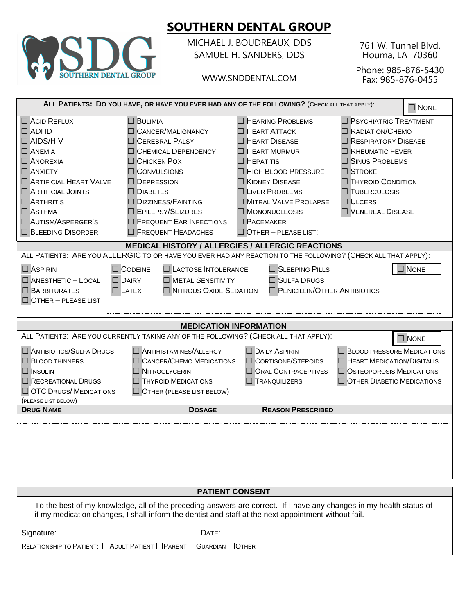

MICHAEL J. BOUDREAUX, DDS SAMUEL H. SANDERS, DDS

WWW.SNDDENTAL.COM

761 W. Tunnel Blvd. Houma, LA 70360

Phone: 985-876-5430 Fax: 985-876-0455

| ALL PATIENTS: DO YOU HAVE, OR HAVE YOU EVER HAD ANY OF THE FOLLOWING? (CHECK ALL THAT APPLY):<br>$\Box$ NONE                                                                                                                                                                                                                                                                                                                                                                                                                                                                                                                      |               |                                                                                                                                                                                                                                                                                         |                                                                                                                                                                                                                                             |  |  |
|-----------------------------------------------------------------------------------------------------------------------------------------------------------------------------------------------------------------------------------------------------------------------------------------------------------------------------------------------------------------------------------------------------------------------------------------------------------------------------------------------------------------------------------------------------------------------------------------------------------------------------------|---------------|-----------------------------------------------------------------------------------------------------------------------------------------------------------------------------------------------------------------------------------------------------------------------------------------|---------------------------------------------------------------------------------------------------------------------------------------------------------------------------------------------------------------------------------------------|--|--|
| ACID REFLUX<br><b>BULIMIA</b><br>$\Box$ ADHD<br><b>CANCER/MALIGNANCY</b><br>$\Box$ AIDS/HIV<br><b>CEREBRAL PALSY</b><br><b>ANEMIA</b><br><b>CHEMICAL DEPENDENCY</b><br><b>ANOREXIA</b><br>$\Box$ Chicken Pox<br><b>CONVULSIONS</b><br>$\square$ Anxiety<br>ARTIFICIAL HEART VALVE<br><b>DEPRESSION</b><br>$\Box$ ARTIFICIAL JOINTS<br><b>DIABETES</b><br>$\Box$ ARTHRITIS<br>$\Box$ DIZZINESS/FAINTING<br>EPILEPSY/SEIZURES<br>$\square$ Asthma<br>AUTISM/ASPERGER'S<br>FREQUENT EAR INFECTIONS<br><b>BLEEDING DISORDER</b><br>FREQUENT HEADACHES                                                                                 |               | <b>HEARING PROBLEMS</b><br>$\Box$ HEART ATTACK<br>$\Box$ HEART DISEASE<br><b>HEART MURMUR</b><br>$\Box$ HEPATITIS<br>HIGH BLOOD PRESSURE<br><b>KIDNEY DISEASE</b><br><b>LIVER PROBLEMS</b><br>MITRAL VALVE PROLAPSE<br>MONONUCLEOSIS<br><b>PACEMAKER</b><br>$\Box$ OTHER - PLEASE LIST: | $\Box$ PSYCHIATRIC TREATMENT<br>RADIATION/CHEMO<br>$\Box$ RESPIRATORY DISEASE<br>RHEUMATIC FEVER<br><b>SINUS PROBLEMS</b><br>$\Box$ STROKE<br><b>THYROID CONDITION</b><br>$\Box$ TUBERCULOSIS<br>$\Box$ ULCERS<br><b>U</b> VENEREAL DISEASE |  |  |
|                                                                                                                                                                                                                                                                                                                                                                                                                                                                                                                                                                                                                                   |               | <b>MEDICAL HISTORY / ALLERGIES / ALLERGIC REACTIONS</b>                                                                                                                                                                                                                                 |                                                                                                                                                                                                                                             |  |  |
| ALL PATIENTS: ARE YOU ALLERGIC TO OR HAVE YOU EVER HAD ANY REACTION TO THE FOLLOWING? (CHECK ALL THAT APPLY):<br><b>LACTOSE INTOLERANCE</b><br>SLEEPING PILLS<br>$\Box$ NONE<br>$\Box$ ASPIRIN<br>$\Box$ CODEINE<br><b>DAIRY</b><br><b>NETAL SENSITIVITY</b><br>$\Box$ ANESTHETIC - LOCAL<br><b>SULFA DRUGS</b><br><b>NITROUS OXIDE SEDATION</b><br>PENICILLIN/OTHER ANTIBIOTICS<br>$\Box$ <b>BARBITURATES</b><br>$\Box$ Latex<br>$\Box$ OTHER - PLEASE LIST                                                                                                                                                                      |               |                                                                                                                                                                                                                                                                                         |                                                                                                                                                                                                                                             |  |  |
| <b>MEDICATION INFORMATION</b>                                                                                                                                                                                                                                                                                                                                                                                                                                                                                                                                                                                                     |               |                                                                                                                                                                                                                                                                                         |                                                                                                                                                                                                                                             |  |  |
| ALL PATIENTS: ARE YOU CURRENTLY TAKING ANY OF THE FOLLOWING? (CHECK ALL THAT APPLY):<br>$\Box$ NONE<br>ANTIBIOTICS/SULFA DRUGS<br>ANTIHISTAMINES/ALLERGY<br><b>BLOOD PRESSURE MEDICATIONS</b><br>$\Box$ DAILY ASPIRIN<br>CANCER/CHEMO MEDICATIONS<br>CORTISONE/STEROIDS<br>$\Box$ HEART MEDICATION/DIGITALIS<br><b>BLOOD THINNERS</b><br>ORAL CONTRACEPTIVES<br>OSTEOPOROSIS MEDICATIONS<br><b>NITROGLYCERIN</b><br>$\Box$ Insulin<br>$\Box$ RECREATIONAL DRUGS<br><b>THYROID MEDICATIONS</b><br>$\Box$ TRANQUILIZERS<br>OTHER DIABETIC MEDICATIONS<br>OTC DRUGS/ MEDICATIONS<br>OTHER (PLEASE LIST BELOW)<br>(PLEASE LIST BELOW) |               |                                                                                                                                                                                                                                                                                         |                                                                                                                                                                                                                                             |  |  |
| <b>DRUG NAME</b>                                                                                                                                                                                                                                                                                                                                                                                                                                                                                                                                                                                                                  | <b>DOSAGE</b> | <b>REASON PRESCRIBED</b>                                                                                                                                                                                                                                                                |                                                                                                                                                                                                                                             |  |  |
|                                                                                                                                                                                                                                                                                                                                                                                                                                                                                                                                                                                                                                   |               |                                                                                                                                                                                                                                                                                         |                                                                                                                                                                                                                                             |  |  |
| <b>PATIENT CONSENT</b>                                                                                                                                                                                                                                                                                                                                                                                                                                                                                                                                                                                                            |               |                                                                                                                                                                                                                                                                                         |                                                                                                                                                                                                                                             |  |  |
| To the best of my knowledge, all of the preceding answers are correct. If I have any changes in my health status of<br>if my medication changes, I shall inform the dentist and staff at the next appointment without fail.                                                                                                                                                                                                                                                                                                                                                                                                       |               |                                                                                                                                                                                                                                                                                         |                                                                                                                                                                                                                                             |  |  |
| Signature:<br>DATE:                                                                                                                                                                                                                                                                                                                                                                                                                                                                                                                                                                                                               |               |                                                                                                                                                                                                                                                                                         |                                                                                                                                                                                                                                             |  |  |
| RELATIONSHIP TO PATIENT: ADULT PATIENT PARENT GUARDIAN OTHER                                                                                                                                                                                                                                                                                                                                                                                                                                                                                                                                                                      |               |                                                                                                                                                                                                                                                                                         |                                                                                                                                                                                                                                             |  |  |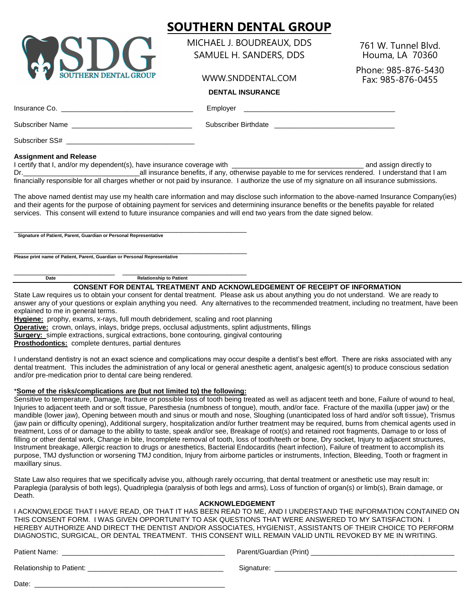

MICHAEL J. BOUDREAUX, DDS SAMUEL H. SANDERS, DDS

WWW.SNDDENTAL.COM

761 W. Tunnel Blvd. Houma, LA 70360

Phone: 985-876-5430 Fax: 985-876-0455

### **DENTAL INSURANCE**

Insurance Co. \_\_\_\_\_\_\_\_\_\_\_\_\_\_\_\_\_\_\_\_\_\_\_\_\_\_\_\_\_\_\_\_\_\_ Employer \_\_\_\_\_\_\_\_\_\_\_\_\_\_\_\_\_\_\_\_\_\_\_\_\_\_\_\_\_\_\_\_\_\_\_\_\_\_\_ Subscriber Name \_\_\_\_\_\_\_\_\_\_\_\_\_\_\_\_\_\_\_\_\_\_\_\_\_\_\_\_\_\_\_ Subscriber Birthdate \_\_\_\_\_\_\_\_\_\_\_\_\_\_\_\_\_\_\_\_\_\_\_\_\_\_\_\_\_\_\_

Subscriber SS#

### **Assignment and Release**

I certify that I, and/or my dependent(s), have insurance coverage with \_\_\_\_\_\_\_\_\_\_\_\_\_\_\_\_\_\_\_\_\_\_\_\_\_\_\_\_\_\_\_\_\_\_ and assign directly to Dr.\_\_\_\_\_\_\_\_\_\_\_\_\_\_\_\_\_\_\_\_\_\_\_\_\_\_\_\_\_\_all insurance benefits, if any, otherwise payable to me for services rendered. I understand that I am financially responsible for all charges whether or not paid by insurance. I authorize the use of my signature on all insurance submissions.

The above named dentist may use my health care information and may disclose such information to the above-named Insurance Company(ies) and their agents for the purpose of obtaining payment for services and determining insurance benefits or the benefits payable for related services. This consent will extend to future insurance companies and will end two years from the date signed below.

\_\_\_\_\_\_\_\_\_\_\_\_\_\_\_\_\_\_\_\_\_\_\_\_\_\_\_\_\_\_\_\_\_\_\_\_\_\_\_\_\_\_\_\_\_\_\_\_\_\_\_\_\_\_\_\_\_\_\_\_ **Signature of Patient, Parent, Guardian or Personal Representative**

\_\_\_\_\_\_\_\_\_\_\_\_\_\_\_\_\_\_\_\_\_\_\_\_\_\_\_\_\_\_\_\_\_\_\_\_\_\_\_\_\_\_\_\_\_\_\_\_\_\_\_\_\_\_\_\_\_\_\_\_ **Please print name of Patient, Parent, Guardian or Personal Representative**

Date **Date** Relationship to Patient

\_\_\_\_\_\_\_\_\_\_\_\_\_\_\_\_\_\_\_\_\_\_\_\_\_\_ \_\_\_\_\_\_\_\_\_\_\_\_\_\_\_\_\_\_\_\_\_\_\_\_\_\_\_\_\_\_\_\_

**CONSENT FOR DENTAL TREATMENT AND ACKNOWLEDGEMENT OF RECEIPT OF INFORMATION**

State Law requires us to obtain your consent for dental treatment. Please ask us about anything you do not understand. We are ready to answer any of your questions or explain anything you need. Any alternatives to the recommended treatment, including no treatment, have been explained to me in general terms.

**Hygiene:** prophy, exams, x-rays, full mouth debridement, scaling and root planning

**Operative:** crown, onlays, inlays, bridge preps, occlusal adjustments, splint adjustments, fillings

**Surgery:** simple extractions, surgical extractions, bone contouring, gingival contouring

**Prosthodontics:** complete dentures, partial dentures

I understand dentistry is not an exact science and complications may occur despite a dentist's best effort. There are risks associated with any dental treatment. This includes the administration of any local or general anesthetic agent, analgesic agent(s) to produce conscious sedation and/or pre-medication prior to dental care being rendered.

### \***Some of the risks/complications are (but not limited to) the following:**

Sensitive to temperature, Damage, fracture or possible loss of tooth being treated as well as adiacent teeth and bone. Failure of wound to heal, Injuries to adjacent teeth and or soft tissue, Paresthesia (numbness of tongue), mouth, and/or face. Fracture of the maxilla (upper jaw) or the mandible (lower jaw), Opening between mouth and sinus or mouth and nose, Sloughing (unanticipated loss of hard and/or soft tissue), Trismus (jaw pain or difficulty opening), Additional surgery, hospitalization and/or further treatment may be required, burns from chemical agents used in treatment, Loss of or damage to the ability to taste, speak and/or see, Breakage of root(s) and retained root fragments, Damage to or loss of filling or other dental work, Change in bite, Incomplete removal of tooth, loss of tooth/teeth or bone, Dry socket, Injury to adjacent structures, Instrument breakage, Allergic reaction to drugs or anesthetics, Bacterial Endocarditis (heart infection), Failure of treatment to accomplish its purpose, TMJ dysfunction or worsening TMJ condition, Injury from airborne particles or instruments, Infection, Bleeding, Tooth or fragment in maxillary sinus.

State Law also requires that we specifically advise you, although rarely occurring, that dental treatment or anesthetic use may result in: Paraplegia (paralysis of both legs), Quadriplegia (paralysis of both legs and arms), Loss of function of organ(s) or limb(s), Brain damage, or Death.

### **ACKNOWLEDGEMENT**

I ACKNOWLEDGE THAT I HAVE READ, OR THAT IT HAS BEEN READ TO ME, AND I UNDERSTAND THE INFORMATION CONTAINED ON THIS CONSENT FORM. I WAS GIVEN OPPORTUNITY TO ASK QUESTIONS THAT WERE ANSWERED TO MY SATISFACTION. I HEREBY AUTHORIZE AND DIRECT THE DENTIST AND/OR ASSOCIATES, HYGIENIST, ASSISTANTS OF THEIR CHOICE TO PERFORM DIAGNOSTIC, SURGICAL, OR DENTAL TREATMENT. THIS CONSENT WILL REMAIN VALID UNTIL REVOKED BY ME IN WRITING.

Patient Name: \_\_\_\_\_\_\_\_\_\_\_\_\_\_\_\_\_\_\_\_\_\_\_\_\_\_\_\_\_\_\_\_\_\_\_\_\_\_\_\_\_\_ Parent/Guardian (Print) \_\_\_\_\_\_\_\_\_\_\_\_\_\_\_\_\_\_\_\_\_\_\_\_\_\_\_\_\_\_\_\_\_\_\_\_\_

| <b>Relationship to Patient:</b> | Sianature |  |
|---------------------------------|-----------|--|
|                                 |           |  |

Date: \_\_\_\_\_\_\_\_\_\_\_\_\_\_\_\_\_\_\_\_\_\_\_\_\_\_\_\_\_\_\_\_\_\_\_\_\_\_\_\_\_\_\_\_\_\_\_\_\_